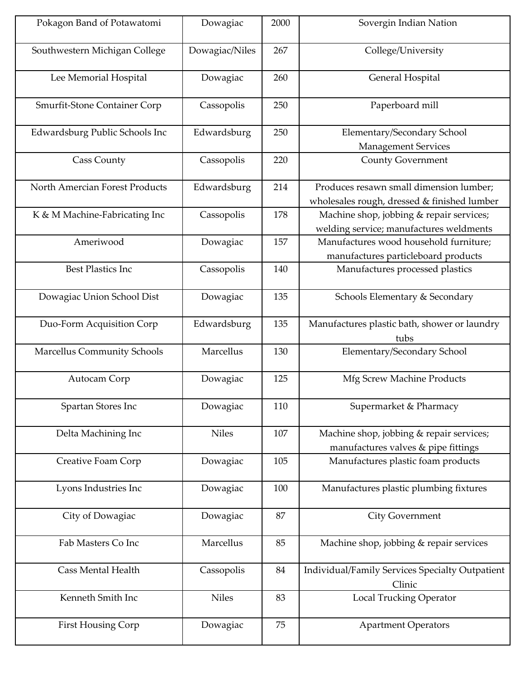| Pokagon Band of Potawatomi     | Dowagiac       | 2000 | Sovergin Indian Nation                                                                 |
|--------------------------------|----------------|------|----------------------------------------------------------------------------------------|
| Southwestern Michigan College  | Dowagiac/Niles | 267  | College/University                                                                     |
| Lee Memorial Hospital          | Dowagiac       | 260  | General Hospital                                                                       |
| Smurfit-Stone Container Corp   | Cassopolis     | 250  | Paperboard mill                                                                        |
| Edwardsburg Public Schools Inc | Edwardsburg    | 250  | Elementary/Secondary School<br>Management Services                                     |
| <b>Cass County</b>             | Cassopolis     | 220  | <b>County Government</b>                                                               |
| North Amercian Forest Products | Edwardsburg    | 214  | Produces resawn small dimension lumber;<br>wholesales rough, dressed & finished lumber |
| K & M Machine-Fabricating Inc  | Cassopolis     | 178  | Machine shop, jobbing & repair services;<br>welding service; manufactures weldments    |
| Ameriwood                      | Dowagiac       | 157  | Manufactures wood household furniture;<br>manufactures particleboard products          |
| <b>Best Plastics Inc</b>       | Cassopolis     | 140  | Manufactures processed plastics                                                        |
| Dowagiac Union School Dist     | Dowagiac       | 135  | Schools Elementary & Secondary                                                         |
| Duo-Form Acquisition Corp      | Edwardsburg    | 135  | Manufactures plastic bath, shower or laundry<br>tubs                                   |
| Marcellus Community Schools    | Marcellus      | 130  | Elementary/Secondary School                                                            |
| Autocam Corp                   | Dowagiac       | 125  | Mfg Screw Machine Products                                                             |
| Spartan Stores Inc             | Dowagiac       | 110  | Supermarket & Pharmacy                                                                 |
| Delta Machining Inc            | <b>Niles</b>   | 107  | Machine shop, jobbing & repair services;<br>manufactures valves & pipe fittings        |
| Creative Foam Corp             | Dowagiac       | 105  | Manufactures plastic foam products                                                     |
| Lyons Industries Inc           | Dowagiac       | 100  | Manufactures plastic plumbing fixtures                                                 |
| City of Dowagiac               | Dowagiac       | 87   | <b>City Government</b>                                                                 |
| Fab Masters Co Inc             | Marcellus      | 85   | Machine shop, jobbing & repair services                                                |
| <b>Cass Mental Health</b>      | Cassopolis     | 84   | Individual/Family Services Specialty Outpatient<br>Clinic                              |
| Kenneth Smith Inc              | <b>Niles</b>   | 83   | <b>Local Trucking Operator</b>                                                         |
| First Housing Corp             | Dowagiac       | 75   | <b>Apartment Operators</b>                                                             |